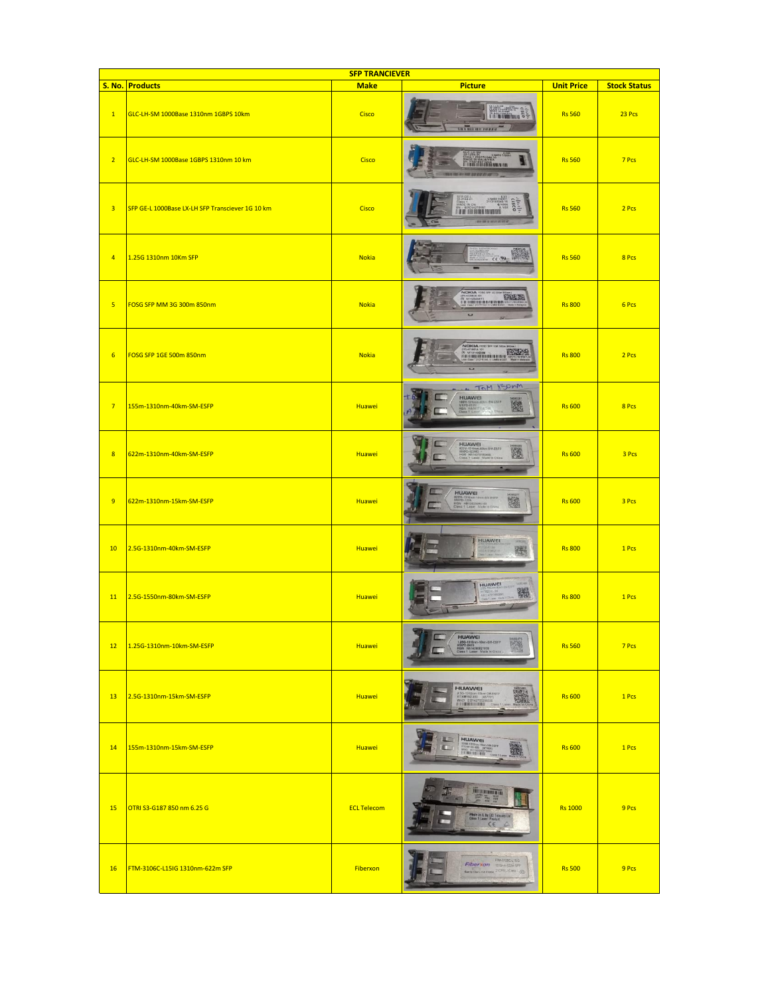| <b>SFP TRANCIEVER</b>   |                                                  |                    |                                                                                                                |                   |                     |  |
|-------------------------|--------------------------------------------------|--------------------|----------------------------------------------------------------------------------------------------------------|-------------------|---------------------|--|
|                         | S. No. Products                                  | <b>Make</b>        | <b>Picture</b>                                                                                                 | <b>Unit Price</b> | <b>Stock Status</b> |  |
| $\mathbf{1}$            | GLC-LH-SM 1000Base 1310nm 1GBPS 10km             | Cisco              | <b>Mariana</b>                                                                                                 | <b>Rs 560</b>     | 23 Pcs              |  |
| 2 <sup>1</sup>          | GLC-LH-SM 1000Base 1GBPS 1310nm 10 km            | Cisco              | <b>THE LITTLE VIOLENCE AND IN</b>                                                                              | <b>Rs 560</b>     | 7 Pcs               |  |
| $\overline{3}$          | SFP GE-L 1000Base LX-LH SFP Transciever 1G 10 km | Cisco              | LN#50<br>21CFR<br><b>CISCO</b><br>IN IN THE TENNIS                                                             | <b>Rs 560</b>     | 2 Pcs               |  |
| $\overline{4}$          | 1.25G 1310nm 10Km SFP                            | <b>Nokia</b>       | 09.33                                                                                                          | <b>Rs 560</b>     | 8 Pcs               |  |
| $\overline{\mathbf{5}}$ | FOSG SFP MM 3G 300m 850nm                        | <b>Nokia</b>       | NORRA FOSS SEP 30 18<br><b>CAN TO</b><br><b>THE VESSIONS</b>                                                   | <b>Rs 800</b>     | 6 Pcs               |  |
| $6\phantom{a}$          | FOSG SFP 1GE 500m 850nm                          | <b>Nokia</b>       | NCIKIA FOSO SFP 108 591<br><b>CLASS CONTRACTOR</b><br>w                                                        | <b>Rs 800</b>     | 2 Pcs               |  |
| 7 <sup>2</sup>          | 155m-1310nm-40km-SM-ESFP                         | <b>Huawei</b>      | TOM YSONM<br>HUAWEI<br>臨                                                                                       | <b>Rs 600</b>     | 8 Pcs               |  |
| 8 <sup>2</sup>          | 622m-1310nm-40km-SM-ESFP                         | Huawei             | HUAWEI<br>篋<br><b>GIN HA14272150488</b><br>Class 1 Laser Made                                                  | <b>Rs 600</b>     | 3 Pcs               |  |
| 9                       | 622m-1310nm-15km-SM-ESFP                         | <b>Huawei</b>      | <b>HUAWEI</b><br><b>TANK</b><br>MXPD-1225<br>HON: H9135203H3190<br>Class 1 Later: Madel                        | <b>Rs 600</b>     | 3 Pcs               |  |
| 10                      | 2.5G-1310nm-40km-SM-ESFP                         | Huawei             | HUAWEI<br>圈                                                                                                    | <b>Rs 800</b>     | 1 Pcs               |  |
| 11                      | 2.5G-1550nm-80km-SM-ESFP                         | <b>Huawei</b>      | <b>HUAWEI</b><br>14,6148<br>龖                                                                                  | <b>Rs 800</b>     | 1 Pcs               |  |
| 12                      | 1.25G-1310nm-10km-SM-ESFP                        | <b>Huawei</b>      | <b>HUAWEI</b><br>1.25G-1318nm-10km-51<br>MXPD-2435<br>HGN HA14260821926<br>Class 1 Laser Made in<br>$n-5M-EBF$ | <b>Rs 560</b>     | 7 Pcs               |  |
| 13                      | 2.5G-1310nm-15km-SM-ESFP                         | Huawei             | <b>HUAWEI</b><br>TXM192-450 (45)<br><b>WHO EB142700200</b>                                                     | <b>Rs 600</b>     | 1 Pcs               |  |
| 14                      | 155m-1310nm-15km-SM-ESFP                         | <b>Huawei</b>      | <b>HUAWEI</b><br>1200-1210nm-13km<br>RTXM120-400 (47<br>WHO EC16030021                                         | <b>Rs 600</b>     | 1 Pcs               |  |
| 15                      | OTRI S3-G187 850 nm 6.25 G                       | <b>ECL Telecom</b> | 56<br>Mede in IL by ECI Telecom Ltd<br>Class 1 Laser: Product<br>CE                                            | <b>Rs 1000</b>    | 9 Pcs               |  |
| 16                      | FTM-3106C-L15IG 1310nm-622m SFP                  | Fiberxon           | <b>FTM-3106C-L15-3</b><br>Fiberxon <b>Bibm@WFF</b><br><b>Banta Clark CA 91854 21CFRLADING LGD</b>              | <b>Rs 500</b>     | 9 Pcs               |  |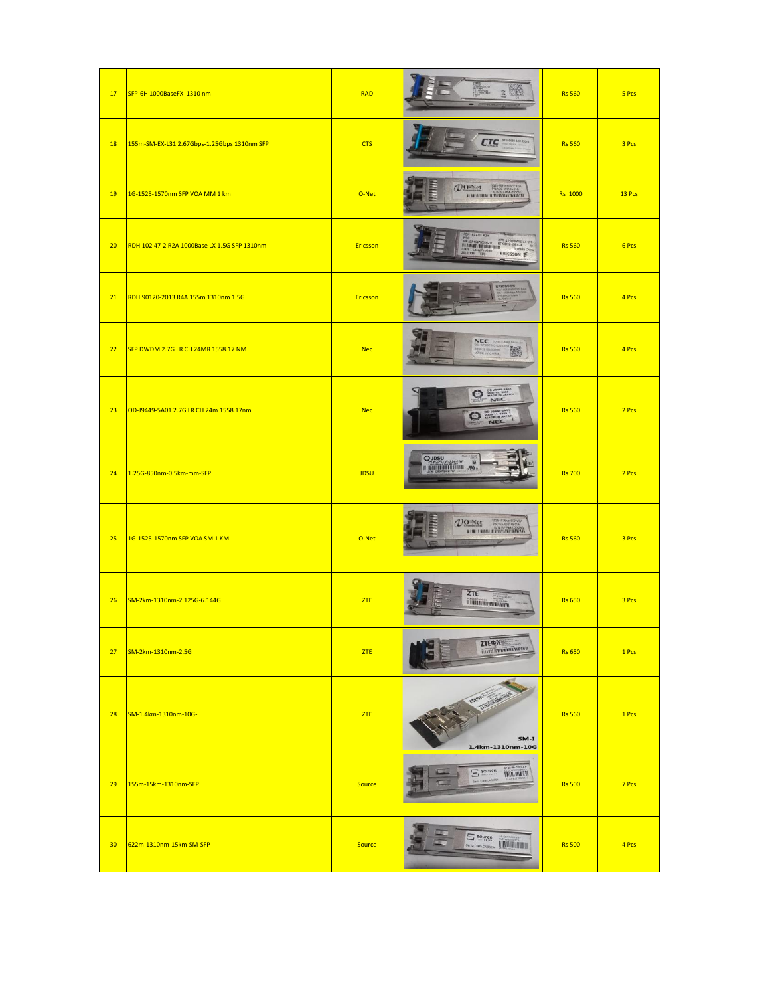| 17              | SFP-6H 1000BaseFX 1310 nm                    | <b>RAD</b>      |                                                                                                                        | <b>Rs 560</b>  | 5 Pcs  |
|-----------------|----------------------------------------------|-----------------|------------------------------------------------------------------------------------------------------------------------|----------------|--------|
| 18              | 155m-SM-EX-L31 2.67Gbps-1.25Gbps 1310nm SFP  | <b>CTS</b>      | <b>MTL-5000-L31-DDU</b><br><b>CTC</b>                                                                                  | <b>Rs 560</b>  | 3 Pcs  |
| 19              | 1G-1525-1570nm SFP VOA MM 1 km               | O-Net           | $\mathcal{D}^{\text{O-Met}}$<br>1525-1570<br><b>EL IN LE THEAL IN THE TELLUL IN A REAL IN</b>                          | <b>Rs</b> 1000 | 13 Pcs |
| 20              | RDH 102 47-2 R2A 1000Base LX 1.5G SFP 1310nm | Ericsson        | <b>H 102 47-2 R2A</b><br>ELX 177<br>ERICSSON E                                                                         | <b>Rs 560</b>  | 6 Pcs  |
| 21              | RDH 90120-2013 R4A 155m 1310nm 1.5G          | <b>Ericsson</b> |                                                                                                                        | <b>Rs 560</b>  | 4 Pcs  |
| 22              | SFP DWDM 2.7G LR CH 24MR 1558.17 NM          | <b>Nec</b>      | <b>NEC</b><br>SLASS LABOR<br>GTCHISCOL<br>鵩<br>20081216090355                                                          | <b>Rs 560</b>  | 4 Pcs  |
| 23              | OD-J9449-5A01 2.7G LR CH 24m 1558.17nm       | <b>Nec</b>      | <b>O 2007-08-3625</b><br>NEC<br>2006 11<br>$\bullet$<br>NEC                                                            | <b>Rs 560</b>  | 2 Pcs  |
| 24              | 1.25G-850nm-0.5km-mm-SFP                     | <b>JDSU</b>     | $Q_{pl,R2PL, m, S24, mw}$                                                                                              | <b>Rs 700</b>  | 2 Pcs  |
| 25              | 1G-1525-1570nm SFP VOA SM 1 KM               | O-Net           | $\mathcal{D}$ <sup>o</sup> -Net<br>1935-1570mm/5FP VOA<br>PN:1G5-000146-51A<br><b>BY OF LE WEB ON BELOVE HER HELM.</b> | <b>Rs 560</b>  | 3 Pcs  |
| 26              | SM-2km-1310nm-2.125G-6.144G                  | ZTE             | ZTE<br><b>TURN INDIANAL</b>                                                                                            | <b>Rs 650</b>  | 3 Pcs  |
| 27              | SM-2km-1310nm-2.5G                           | ZTE             | <b>ZTE中兴</b><br><u>ANTES ANTIQUE AND IN SECTION</u>                                                                    | <b>Rs 650</b>  | 1 Pcs  |
| 28              | SM-1.4km-1310nm-10G-I                        | <b>ZTE</b>      | SM-I<br>1.4km-1310nm-10G                                                                                               | <b>Rs 560</b>  | 1 Pcs  |
| 29              | 155m-15km-1310nm-SFP                         | <b>Source</b>   | $\Xi$ source<br><b>TAIN MIEAM</b>                                                                                      | <b>Rs 500</b>  | 7 Pcs  |
| 30 <sub>2</sub> | 622m-1310nm-15km-SM-SFP                      | <b>Source</b>   | $S$ source<br><b>THERMAN</b><br>Santa Clara CA95054                                                                    | <b>Rs 500</b>  | 4 Pcs  |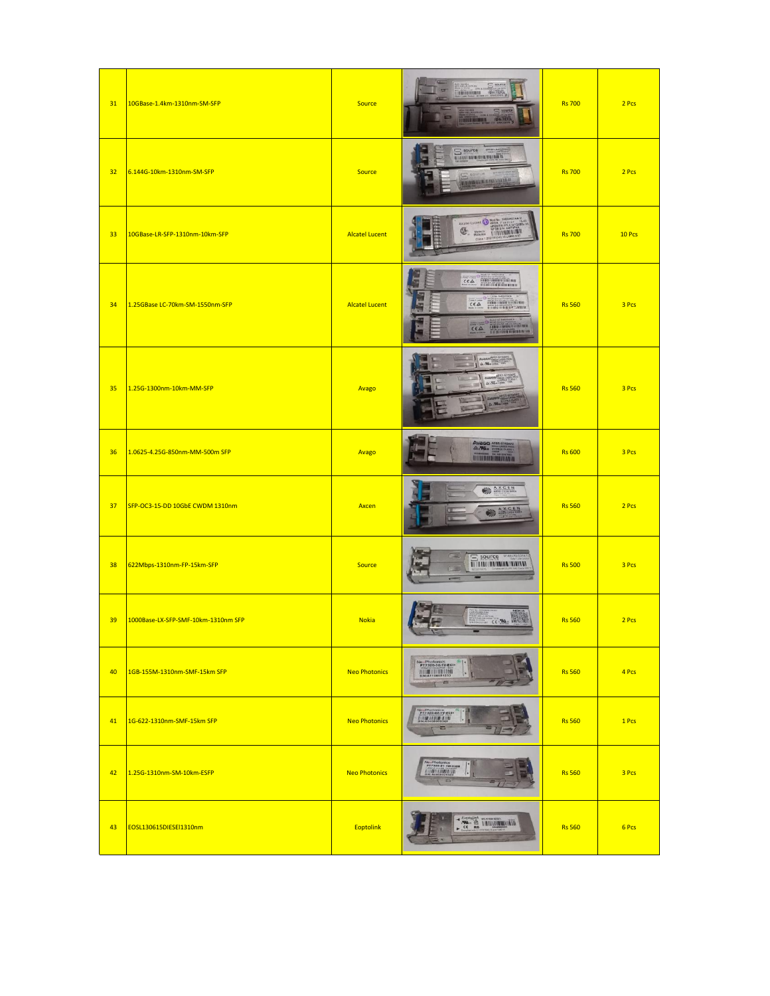| 31 | 10GBase-1.4km-1310nm-SM-SFP         | <b>Source</b>         | $\Xi$ source<br><b>Experience</b> Structure<br>$\blacksquare$<br><b>L'EDITIBILITÀ PRATE</b>                                                                                                                                                                  | <b>Rs 700</b> | 2 Pcs  |
|----|-------------------------------------|-----------------------|--------------------------------------------------------------------------------------------------------------------------------------------------------------------------------------------------------------------------------------------------------------|---------------|--------|
| 32 | 6.144G-10km-1310nm-SM-SFP           | Source                | $S$ source<br>N BIBER HEIM HILBERT ETTE EN KA                                                                                                                                                                                                                | <b>Rs 700</b> | 2 Pcs  |
| 33 | 10GBase-LR-SFP-1310nm-10km-SFP      | <b>Alcatel Lucent</b> | Academicident Company of the Academic Company of the Academic Company of the Academic Company of the Academic Company of the Academic Company of the Academic Company of the Academic Company of the Academic Company of the A                               | <b>Rs 700</b> | 10 Pcs |
| 34 | 1.25GBase LC-70km-SM-1550nm-SFP     | <b>Alcatel Lucent</b> | <b>TESTING TANK</b><br>$C E \triangle$<br>The Williams<br>$CE\triangle$<br>$C \in \Delta$                                                                                                                                                                    | <b>Rs 560</b> | 3 Pcs  |
| 35 | 1.25G-1300nm-10km-MM-SFP            | Avago                 |                                                                                                                                                                                                                                                              | <b>Rs 560</b> | 3 Pcs  |
| 36 | 1.0625-4.25G-850nm-MM-500m SFP      | Avago                 | $\begin{array}{c}\n\textbf{AVAGG} \xrightarrow{\textbf{ATR} \xrightarrow{\textbf{SFRSAR}}} \\ \textbf{A} \xleftarrow{\textbf{WL}} \xrightarrow{\textbf{DMSR} \xrightarrow{\textbf{DMSR} \xrightarrow{\textbf{M}}}\n\end{array}$<br><b>AND REAL PROVIDERS</b> | <b>Rs 600</b> | 3 Pcs  |
| 37 | SFP-OC3-15-DD 10GbE CWDM 1310nm     | Axcen                 | AXCEN<br>AXCEN                                                                                                                                                                                                                                               | <b>Rs 560</b> | 2 Pcs  |
| 38 | 622Mbps-1310nm-FP-15km-SFP          | <b>Source</b>         | $\equiv$ source $\frac{1}{2}$<br><b>MARK AND MARKET OF REAL PROPERTY</b>                                                                                                                                                                                     | <b>Rs 500</b> | 3 Pcs  |
| 39 | 1000Base-LX-SFP-SMF-10km-1310nm SFP | <b>Nokia</b>          | CE PU                                                                                                                                                                                                                                                        | <b>Rs 560</b> | 2 Pcs  |
| 40 | 1GB-155M-1310nm-SMF-15km SFP        | <b>Neo Photonics</b>  | Ne: Photonics<br>PT7320-32-1V-ECI+<br><b>BM:A1108051233</b><br>m                                                                                                                                                                                             | <b>Rs 560</b> | 4 Pcs  |
| 41 | 1G-622-1310nm-SMF-15km SFP          | <b>Neo Photonics</b>  | $\equiv$                                                                                                                                                                                                                                                     | <b>Rs 560</b> | 1 Pcs  |
| 42 | 1.25G-1310nm-SM-10km-ESFP           | <b>Neo Photonics</b>  | Ve Photonics<br>PT7320-51-1W-KHW<br><b><i>ETTRETTING LEE</i></b><br>ŀ                                                                                                                                                                                        | <b>Rs 560</b> | 3 Pcs  |
| 43 | EOSL130615DIESEl1310nm              | <b>Eoptolink</b>      | <b>EXAMPLE INTERNATIONAL PROPERTY</b>                                                                                                                                                                                                                        | <b>Rs 560</b> | 6 Pcs  |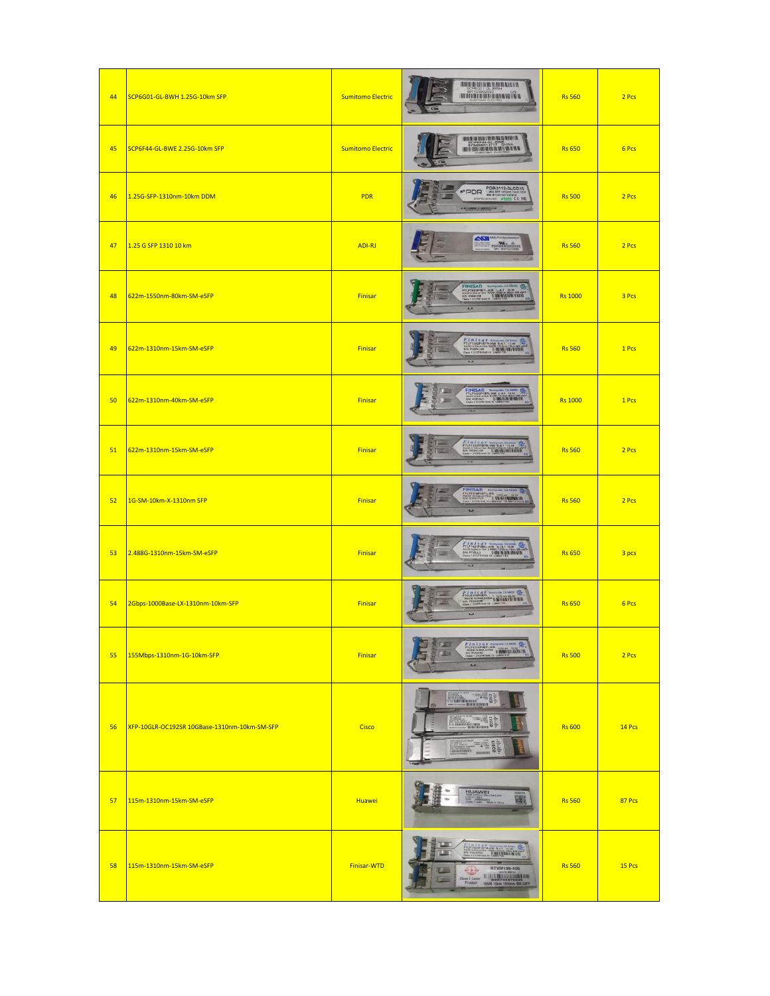| 44 | SCP6G01-GL-BWH 1.25G-10km SFP                | <b>Sumitomo Electric</b> | <b>THE REAL PROPERTY OF</b><br><b>HI ITTI LITTLE BALLARY R</b>                                                                                                                                                                                                                                                          | <b>Rs 560</b>  | 2 Pcs  |
|----|----------------------------------------------|--------------------------|-------------------------------------------------------------------------------------------------------------------------------------------------------------------------------------------------------------------------------------------------------------------------------------------------------------------------|----------------|--------|
| 45 | SCP6F44-GL-BWE 2.25G-10km SFP                | <b>Sumitomo Electric</b> | <b>BUT OF THE REAL AND BART B</b><br><b>MENTHORN WERKER</b>                                                                                                                                                                                                                                                             | <b>Rs 650</b>  | 6 Pcs  |
| 46 | 1.25G-SFP-1310nm-10km DDM                    | <b>PDR</b>               | <b>PDR3112-3LCD10</b><br>1240 8PP 1250m 10m 00v<br>6N 81231141231826<br>0041551 001015 CE FC<br>*PDR                                                                                                                                                                                                                    | <b>Rs 500</b>  | 2 Pcs  |
| 47 | 1.25 G SFP 1310 10 km                        | ADI-RJ                   | <b>ASI</b> <sup>MELFRIEK</sup><br>$\frac{\partial \mathbf{W}_n}{\partial \mathbf{W}_n}$                                                                                                                                                                                                                                 | <b>Rs 560</b>  | 2 Pcs  |
| 48 | 622m-1550nm-80km-SM-eSFP                     | Finisar                  | FINISAR SERVICE STREET                                                                                                                                                                                                                                                                                                  | <b>Rs 1000</b> | 3 Pcs  |
| 49 | 622m-1310nm-15km-SM-eSFP                     | Finisar                  | $F1 n 1 s a r$                                                                                                                                                                                                                                                                                                          | <b>Rs 560</b>  | 1 Pcs  |
| 50 | 622m-1310nm-40km-SM-eSFP                     | Finisar                  | FINISAR<br>信服<br><b>FTLF1422P1BTL-RW L-4.1 1649</b><br>SN: PVESZ? <b>BIBLION IN MARINE CONTRACT CONTRACT</b><br><b>Call</b>                                                                                                                                                                                             | <b>Rs 1000</b> | 1 Pcs  |
| 51 | 622m-1310nm-15km-SM-eSFP                     | Finisar                  | Finisar<br>EN 1322-1814<br>EN POMOGRO - LINIS IN INTERNATIONAL                                                                                                                                                                                                                                                          | <b>Rs 560</b>  | 2 Pcs  |
| 52 | 1G-SM-10km-X-1310nm SFP                      | Finisar                  | <b>FINISAR</b> &<br><b>FLEISTERED LAN</b><br>$\overline{ }$                                                                                                                                                                                                                                                             | <b>Rs 560</b>  | 2 Pcs  |
| 53 | 2.488G-1310nm-15km-SM-eSFP                   | <b>Finisar</b>           |                                                                                                                                                                                                                                                                                                                         | <b>Rs 650</b>  | 3 pcs  |
| 54 | 2Gbps-1000Base-LX-1310nm-10km-SFP            | <b>Finisar</b>           | Finland in William C.<br>Ξ                                                                                                                                                                                                                                                                                              | <b>Rs 650</b>  | 6 Pcs  |
| 55 | 155Mbps-1310nm-1G-10km-SFP                   | <b>Finisar</b>           | $F$ in is a $\frac{1}{2}$ in $\frac{1}{2}$ in $\frac{1}{2}$ in $\frac{1}{2}$ in $\frac{1}{2}$ in $\frac{1}{2}$ in $\frac{1}{2}$ in $\frac{1}{2}$ in $\frac{1}{2}$ in $\frac{1}{2}$ in $\frac{1}{2}$ in $\frac{1}{2}$ in $\frac{1}{2}$ in $\frac{1}{2}$ in $\frac{1}{2}$ in $\frac{1}{2}$ in<br>$\overline{\phantom{a}}$ | <b>Rs 500</b>  | 2 Pcs  |
| 56 | XFP-10GLR-OC192SR 10GBase-1310nm-10km-SM-SFP | Cisco                    | <b>The Community</b>                                                                                                                                                                                                                                                                                                    | <b>Rs 600</b>  | 14 Pcs |
| 57 | 115m-1310nm-15km-SM-eSFP                     | <b>Huawei</b>            | HUAWEI                                                                                                                                                                                                                                                                                                                  | <b>Rs 560</b>  | 87 Pcs |
| 58 | 115m-1310nm-15km-SM-eSFP                     | Finisar-WTD              | HW 5-1.1 11-44<br><u>Linconni m'in</u><br>RTXM139-400<br>578.53<br>155M-15km-131                                                                                                                                                                                                                                        | <b>Rs 560</b>  | 15 Pcs |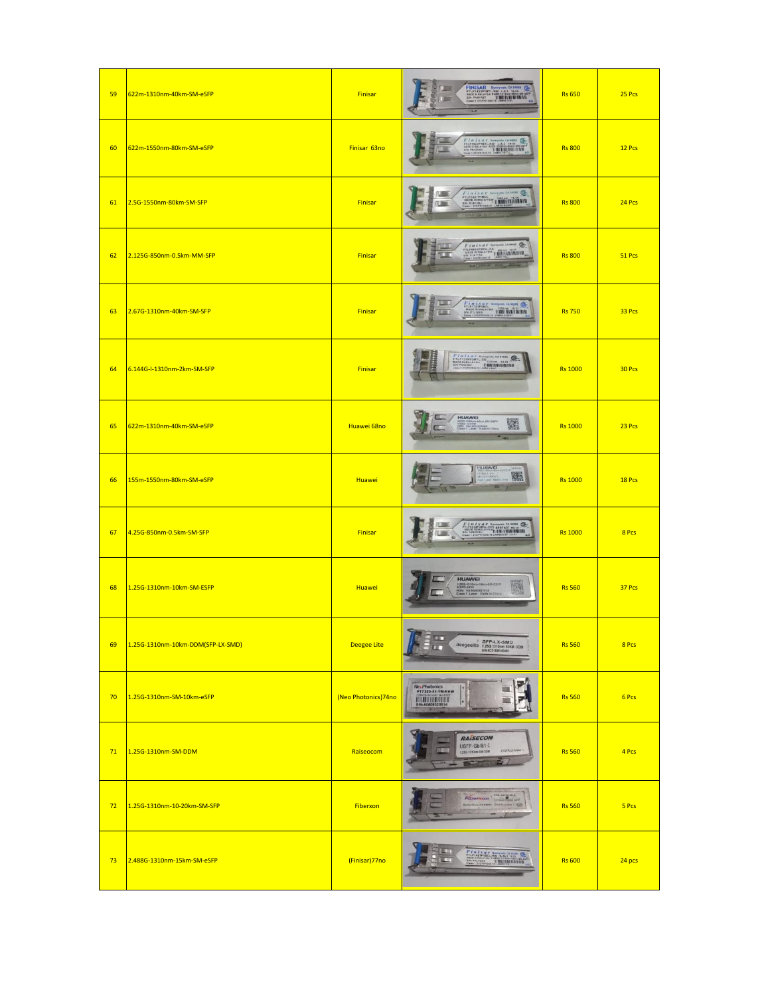| 59 | 622m-1310nm-40km-SM-eSFP          | <b>Finisar</b>      | FINISAR Superior CA MORE STUFFARE<br><b>C</b><br>O                                                                                                                                                                                                                                                                                                                                                                                                                                                                         | <b>Rs 650</b>  | 25 Pcs |
|----|-----------------------------------|---------------------|----------------------------------------------------------------------------------------------------------------------------------------------------------------------------------------------------------------------------------------------------------------------------------------------------------------------------------------------------------------------------------------------------------------------------------------------------------------------------------------------------------------------------|----------------|--------|
| 60 | 622m-1550nm-80km-SM-eSFP          | Finisar 63no        | Finisar Service Com                                                                                                                                                                                                                                                                                                                                                                                                                                                                                                        | <b>Rs 800</b>  | 12 Pcs |
| 61 | 2.5G-1550nm-80km-SM-SFP           | <b>Finisar</b>      | $F_{\text{L}}(n) \times a \times \underbrace{\text{L}}_{\text{MADI, NUMO}}(n) \times \underbrace{\text{LAMO}}_{\text{MADI, NUMO}} \underbrace{\text{LAMO}}_{\text{MUMO}}$                                                                                                                                                                                                                                                                                                                                                  | <b>Rs 800</b>  | 24 Pcs |
| 62 | 2.125G-850nm-0.5km-MM-SFP         | <b>Finisar</b>      | $F$ i $n$ i $s$ $a$ $r$ summer catter $\sum_{\text{max of } n \text{ matrix}}$                                                                                                                                                                                                                                                                                                                                                                                                                                             | <b>Rs 800</b>  | 51 Pcs |
| 63 | 2.67G-1310nm-40km-SM-SFP          | Finisar             | $F$ i n i s a r $\sum_{\text{maxmax} \text{ times}}$<br><b>UMINUMATION</b>                                                                                                                                                                                                                                                                                                                                                                                                                                                 | <b>Rs 750</b>  | 33 Pcs |
| 64 | 6.144G-I-1310nm-2km-SM-SFP        | Finisar             | FINISHT SHOP SHOPPING CASES<br>GB.<br><b>U. BUE IS EVALUATION</b>                                                                                                                                                                                                                                                                                                                                                                                                                                                          | <b>Rs 1000</b> | 30 Pcs |
| 65 | 622m-1310nm-40km-SM-eSFP          | Huawei 68no         | HUAWEI<br><b>SMESTP</b><br>MORPO 422400<br>HGRS HA1421                                                                                                                                                                                                                                                                                                                                                                                                                                                                     | <b>Rs 1000</b> | 23 Pcs |
| 66 | 155m-1550nm-80km-SM-eSFP          | <b>Huawei</b>       | <b>HUAWEI</b><br>躐                                                                                                                                                                                                                                                                                                                                                                                                                                                                                                         | <b>Rs 1000</b> | 18 Pcs |
| 67 | 4.25G-850nm-0.5km-SM-SFP          | <b>Finisar</b>      |                                                                                                                                                                                                                                                                                                                                                                                                                                                                                                                            | <b>Rs 1000</b> | 8 Pcs  |
| 68 | 1.25G-1310nm-10km-SM-ESFP         | <b>Huawei</b>       | <b>HUAWEI</b><br><b>LEM-ESFP</b><br>1.26G-1310nm-10am<br>MXPO-2435<br>HGN HA14260821926<br>Class 1 Laser Mode in Chic<br>魔                                                                                                                                                                                                                                                                                                                                                                                                 | <b>Rs 560</b>  | 37 Pcs |
| 69 | 1.25G-1310nm-10km-DDM(SFP-LX-SMD) | Deegee Lite         | $\frac{\square}{\square}$<br>$\textbf{dee} \xrightarrow{\texttt{SFP-LX-SMD}} \textbf{O} \xrightarrow{\texttt{SSP-P-LX-SMD}} \textbf{O} \xrightarrow{\texttt{SNC-1150} \texttt{NCG} \xrightarrow{\texttt{SNC-1150} \texttt{S100} \xrightarrow{\texttt{S10}} \texttt{S100} \xrightarrow{\texttt{S100} \xrightarrow{\texttt{S100} \xrightarrow{\texttt{S100} \xrightarrow{\texttt{S100} \xrightarrow{\texttt{S100} \xrightarrow{\texttt{S100} \xrightarrow{\texttt{S100} \xrightarrow{\texttt{S100} \xrightarrow{\texttt{S10$ | <b>Rs 560</b>  | 8 Pcs  |
| 70 | 1.25G-1310nm-SM-10km-eSFP         | (Neo Photonics)74no | Ne Photonics<br>PT7320-51-1W-KHW<br>ĸ<br><b>SN 40808025514</b>                                                                                                                                                                                                                                                                                                                                                                                                                                                             | <b>Rs 560</b>  | 6 Pcs  |
| 71 | 1.25G-1310nm-SM-DDM               | Raiseocom           | RAISECOM<br>USFP-Gb/S1-I<br>21CFR(J) Class<br>142, 1310am-5M-DDM                                                                                                                                                                                                                                                                                                                                                                                                                                                           | <b>Rs 560</b>  | 4 Pcs  |
| 72 | 1.25G-1310nm-10-20km-SM-SFP       | Fiberxon            | FIN-19120-RO<br><b>Fiberxon</b><br><b>Benie Clara CA 85004 210</b><br>$\circledcirc$                                                                                                                                                                                                                                                                                                                                                                                                                                       | <b>Rs 560</b>  | 5 Pcs  |
| 73 | 2.488G-1310nm-15km-SM-eSFP        | (Finisar)77no       | Finisar<br>Hiristrae<br>Contribution of the Contribution                                                                                                                                                                                                                                                                                                                                                                                                                                                                   | <b>Rs 600</b>  | 24 pcs |